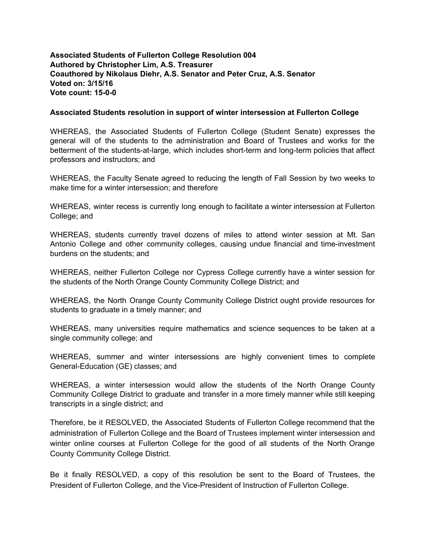**Associated Students of Fullerton College Resolution 004 Authored by Christopher Lim, A.S. Treasurer Coauthored by Nikolaus Diehr, A.S. Senator and Peter Cruz, A.S. Senator Voted on: 3/15/16 Vote count: 15-0-0** 

## **Associated Students resolution in support of winter intersession at Fullerton College**

WHEREAS, the Associated Students of Fullerton College (Student Senate) expresses the general will of the students to the administration and Board of Trustees and works for the betterment of the students-at-large, which includes short-term and long-term policies that affect professors and instructors; and

WHEREAS, the Faculty Senate agreed to reducing the length of Fall Session by two weeks to make time for a winter intersession; and therefore

WHEREAS, winter recess is currently long enough to facilitate a winter intersession at Fullerton College; and

WHEREAS, students currently travel dozens of miles to attend winter session at Mt. San Antonio College and other community colleges, causing undue financial and time-investment burdens on the students; and

WHEREAS, neither Fullerton College nor Cypress College currently have a winter session for the students of the North Orange County Community College District; and

WHEREAS, the North Orange County Community College District ought provide resources for students to graduate in a timely manner; and

WHEREAS, many universities require mathematics and science sequences to be taken at a single community college; and

WHEREAS, summer and winter intersessions are highly convenient times to complete General-Education (GE) classes; and

WHEREAS, a winter intersession would allow the students of the North Orange County Community College District to graduate and transfer in a more timely manner while still keeping transcripts in a single district; and

Therefore, be it RESOLVED, the Associated Students of Fullerton College recommend that the administration of Fullerton College and the Board of Trustees implement winter intersession and winter online courses at Fullerton College for the good of all students of the North Orange County Community College District.

Be it finally RESOLVED, a copy of this resolution be sent to the Board of Trustees, the President of Fullerton College, and the Vice-President of Instruction of Fullerton College.